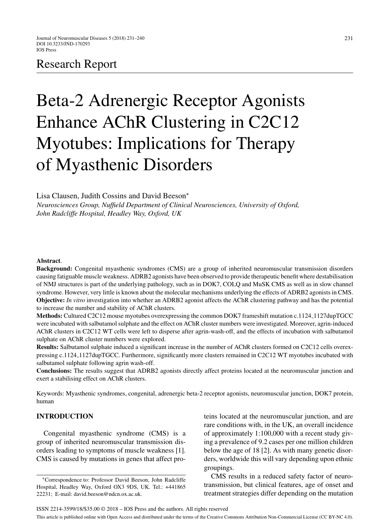# Research Report

# Beta-2 Adrenergic Receptor Agonists Enhance AChR Clustering in C2C12 Myotubes: Implications for Therapy of Myasthenic Disorders

Lisa Clausen, Judith Cossins and David Beeson<sup>∗</sup>

*Neurosciences Group, Nuffield Department of Clinical Neurosciences, University of Oxford, John Radcliffe Hospital, Headley Way, Oxford, UK*

#### **Abstract**.

**Background:** Congenital myasthenic syndromes (CMS) are a group of inherited neuromuscular transmission disorders causing fatiguable muscle weakness. ADRB2 agonists have been observed to provide therapeutic benefit where destabilisation of NMJ structures is part of the underlying pathology, such as in DOK7, COLQ and MuSK CMS as well as in slow channel syndrome. However, very little is known about the molecular mechanisms underlying the effects of ADRB2 agonists in CMS. **Objective:** *In vitro* investigation into whether an ADRB2 agonist affects the AChR clustering pathway and has the potential to increase the number and stability of AChR clusters.

**Methods:** Cultured C2C12 mouse myotubes overexpressing the common DOK7 frameshift mutation c.1124 1127dupTGCC were incubated with salbutamol sulphate and the effect on AChR cluster numbers were investigated. Moreover, agrin-induced AChR clusters in C2C12 WT cells were left to disperse after agrin-wash-off, and the effects of incubation with salbutamol sulphate on AChR cluster numbers were explored.

**Results:** Salbutamol sulphate induced a significant increase in the number of AChR clusters formed on C2C12 cells overexpressing c.1124 1127dupTGCC. Furthermore, significantly more clusters remained in C2C12 WT myotubes incubated with salbutamol sulphate following agrin wash-off.

**Conclusions:** The results suggest that ADRB2 agonists directly affect proteins located at the neuromuscular junction and exert a stabilising effect on AChR clusters.

Keywords: Myasthenic syndromes, congenital, adrenergic beta-2 receptor agonists, neuromuscular junction, DOK7 protein, human

### **INTRODUCTION**

Congenital myasthenic syndrome (CMS) is a group of inherited neuromuscular transmission disorders leading to symptoms of muscle weakness [1]. CMS is caused by mutations in genes that affect proteins located at the neuromuscular junction, and are rare conditions with, in the UK, an overall incidence of approximately 1:100,000 with a recent study giving a prevalence of 9.2 cases per one million children below the age of 18 [2]. As with many genetic disorders, worldwide this will vary depending upon ethnic groupings.

CMS results in a reduced safety factor of neurotransmission, but clinical features, age of onset and treatment strategies differ depending on the mutation

<sup>∗</sup>Correspondence to: Professor David Beeson, John Radcliffe Hospital, Headley Way, Oxford OX3 9DS, UK. Tel.: +441865 22231; E-mail: [david.beeson@ndcn.ox.ac.uk.](mailto:david.beeson@ndcn.ox.ac.uk)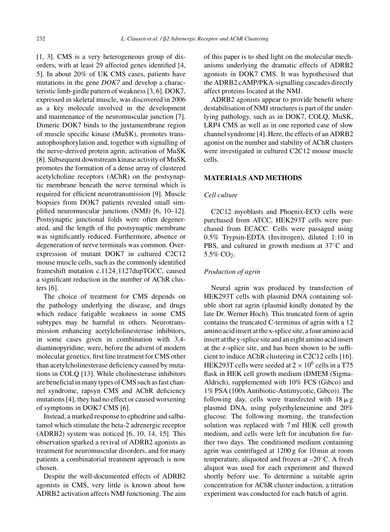[1, 3]. CMS is a very heterogeneous group of disorders, with at least 29 affected genes identified [4, 5]. In about 20% of UK CMS cases, patients have mutations in the gene *DOK7* and develop a characteristic limb-girdle pattern of weakness [3, 6]. DOK7, expressed in skeletal muscle, was discovered in 2006 as a key molecule involved in the development and maintenance of the neuromuscular junction [7]. Dimeric DOK7 binds to the juxtamembrane region of muscle specific kinase (MuSK), promotes transautophosphorylation and, together with signalling of the nerve-derived protein agrin, activation of MuSK [8]. Subsequent downstream kinase activity of MuSK promotes the formation of a dense array of clustered acetylcholine receptors (AChR) on the postsynaptic membrane beneath the nerve terminal which is required for efficient neurotransmission [9]. Muscle biopsies from DOK7 patients revealed small simplified neuromuscular junctions (NMJ) [6, 10–12]. Postsynaptic junctional folds were often degenerated, and the length of the postsynaptic membrane was significantly reduced. Furthermore, absence or degeneration of nerve terminals was common. Overexpression of mutant DOK7 in cultured C2C12 mouse muscle cells, such as the commonly identified frameshift mutation c.1124<sub>-1127</sub>dupTGCC, caused a significant reduction in the number of AChR clusters [6].

The choice of treatment for CMS depends on the pathology underlying the disease, and drugs which reduce fatigable weakness in some CMS subtypes may be harmful in others. Neurotransmission enhancing acetylcholinesterase inhibitors, in some cases given in combination with 3,4 diaminopyridine, were, before the advent of modern molecular genetics, first line treatment for CMS other than acetylcholinesterase deficiency caused by mutations in COLQ [13]. While cholinesterase inhibitors are beneficial in many types of CMS such as fast channel syndrome, rapsyn CMS and AChR deficiency mutations [4], they had no effect or caused worsening of symptoms in DOK7 CMS [6].

Instead, a marked response to ephedrine and salbutamol which stimulate the beta-2 adrenergic receptor (ADRB2) system was noticed [6, 10, 14, 15]. This observation sparked a revival of ADRB2 agonists as treatment for neuromuscular disorders, and for many patients a combinatorial treatment approach is now chosen.

Despite the well-documented effects of ADRB2 agonists in CMS, very little is known about how ADRB2 activation affects NMJ functioning. The aim of this paper is to shed light on the molecular mechanisms underlying the dramatic effects of ADRB2 agonists in DOK7 CMS. It was hypothesised that the ADRB2 cAMP/PKA-signalling cascades directly affect proteins located at the NMJ.

ADRB2 agonists appear to provide benefit where destabilisation of NMJ structures is part of the underlying pathology, such as in DOK7, COLQ, MuSK, LRP4 CMS as well as in one reported case of slow channel syndrome [4]. Here, the effects of an ADRB2 agonist on the number and stability of AChR clusters were investigated in cultured C2C12 mouse muscle cells.

#### **MATERIALS AND METHODS**

#### *Cell culture*

C2C12 myoblasts and Phoenix-ECO cells were purchased from ATCC, HEK293T cells were purchased from ECACC. Cells were passaged using 0.5% Trypsin-EDTA (Invitrogen), diluted 1:10 in PBS, and cultured in growth medium at 37◦C and 5.5% CO<sub>2</sub>.

# *Production of agrin*

Neural agrin was produced by transfection of HEK293T cells with plasmid DNA containing soluble short rat agrin (plasmid kindly donated by the late Dr. Werner Hoch). This truncated form of agrin contains the truncated C-terminus of agrin with a 12 amino acid insert at the x-splice site, a four amino acid insert at the y-splice site and an eight amino acid insert at the z-splice site, and has been shown to be sufficient to induce AChR clustering in C2C12 cells [16]. HEK293T cells were seeded at  $2 \times 10^6$  cells in a T75 flask in HEK cell growth medium (DMEM (Sigma-Aldrich), supplemented with 10% FCS (Gibco) and 1% PSA (100x Antibiotic-Antimycotic, Gibco)). The following day, cells were transfected with  $18 \mu g$ plasmid DNA, using polyethyleneimine and 20% glucose. The following morning, the transfection solution was replaced with 7 ml HEK cell growth medium, and cells were left for incubation for further two days. The conditioned medium containing agrin was centrifuged at 1200 g for 10 min at room temperature, aliquoted and frozen at –20◦C. A fresh aliquot was used for each experiment and thawed shortly before use. To determine a suitable agrin concentration for AChR cluster induction, a titration experiment was conducted for each batch of agrin.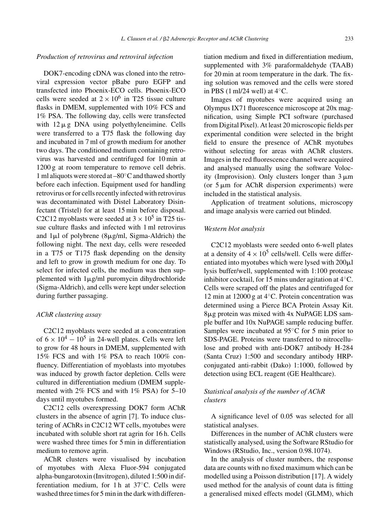#### *Production of retrovirus and retroviral infection*

DOK7-encoding cDNA was cloned into the retroviral expression vector pBabe puro EGFP and transfected into Phoenix-ECO cells. Phoenix-ECO cells were seeded at  $2 \times 10^6$  in T25 tissue culture flasks in DMEM, supplemented with 10% FCS and 1% PSA. The following day, cells were transfected with  $12 \mu$ g DNA using polyethyleneimine. Cells were transferred to a T75 flask the following day and incubated in 7 ml of growth medium for another two days. The conditioned medium containing retrovirus was harvested and centrifuged for 10 min at 1200 g at room temperature to remove cell debris. 1 ml aliquots were stored at –80◦C and thawed shortly before each infection. Equipment used for handling retrovirus or for cells recently infected with retrovirus was decontaminated with Distel Laboratory Disinfectant (Tristel) for at least 15 min before disposal. C2C12 myoblasts were seeded at  $3 \times 10^5$  in T25 tissue culture flasks and infected with 1 ml retrovirus and  $1\mu$ l of polybrene (8 $\mu$ g/ml, Sigma-Aldrich) the following night. The next day, cells were reseeded in a T75 or T175 flask depending on the density and left to grow in growth medium for one day. To select for infected cells, the medium was then supplemented with 1µg/ml puromycin dihydrochloride (Sigma-Aldrich), and cells were kept under selection during further passaging.

#### *AChR clustering assay*

C2C12 myoblasts were seeded at a concentration of  $6 \times 10^4 - 10^5$  in 24-well plates. Cells were left to grow for 48 hours in DMEM, supplemented with 15% FCS and with 1% PSA to reach 100% confluency. Differentiation of myoblasts into myotubes was induced by growth factor depletion. Cells were cultured in differentiation medium (DMEM supplemented with 2% FCS and with 1% PSA) for 5–10 days until myotubes formed.

C2C12 cells overexpressing DOK7 form AChR clusters in the absence of agrin [7]. To induce clustering of AChRs in C2C12 WT cells, myotubes were incubated with soluble short rat agrin for 16 h. Cells were washed three times for 5 min in differentiation medium to remove agrin.

AChR clusters were visualised by incubation of myotubes with Alexa Fluor-594 conjugated alpha-bungarotoxin (Invitrogen), diluted 1:500 in differentiation medium, for 1 h at 37°C. Cells were washed three times for 5 min in the dark with differentiation medium and fixed in differentiation medium, supplemented with 3% paraformaldehyde (TAAB) for 20 min at room temperature in the dark. The fixing solution was removed and the cells were stored in PBS  $(1 \text{ ml}/24 \text{ well})$  at  $4 °C$ .

Images of myotubes were acquired using an Olympus IX71 fluorescence microscope at 20x magnification, using Simple PCI software (purchased from Digital Pixel). At least 20 microscopic fields per experimental condition were selected in the bright field to ensure the presence of AChR myotubes without selecting for areas with AChR clusters. Images in the red fluorescence channel were acquired and analysed manually using the software Volocity (Improvision). Only clusters longer than  $3 \mu m$ (or  $5 \mu m$  for AChR dispersion experiments) were included in the statistical analysis.

Application of treatment solutions, microscopy and image analysis were carried out blinded.

#### *Western blot analysis*

C2C12 myoblasts were seeded onto 6-well plates at a density of  $4 \times 10^5$  cells/well. Cells were differentiated into myotubes which were lysed with  $200 \mu$ . lysis buffer/well, supplemented with 1:100 protease inhibitor cocktail, for 15 mins under agitation at 4◦C. Cells were scraped off the plates and centrifuged for 12 min at 12000 g at 4◦C. Protein concentration was determined using a Pierce BCA Protein Assay Kit. 8g protein was mixed with 4x NuPAGE LDS sample buffer and 10x NuPAGE sample reducing buffer. Samples were incubated at 95◦C for 5 min prior to SDS-PAGE. Proteins were transferred to nitrocellulose and probed with anti-DOK7 antibody H-284 (Santa Cruz) 1:500 and secondary antibody HRPconjugated anti-rabbit (Dako) 1:1000, followed by detection using ECL reagent (GE Healthcare).

# *Statistical analysis of the number of AChR clusters*

A significance level of 0.05 was selected for all statistical analyses.

Differences in the number of AChR clusters were statistically analysed, using the Software RStudio for Windows (RStudio, Inc., version 0.98.1074).

In the analysis of cluster numbers, the response data are counts with no fixed maximum which can be modelled using a Poisson distribution [17]. A widely used method for the analysis of count data is fitting a generalised mixed effects model (GLMM), which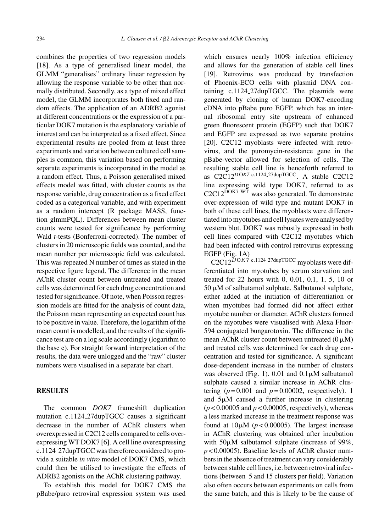combines the properties of two regression models [18]. As a type of generalised linear model, the GLMM "generalises" ordinary linear regression by allowing the response variable to be other than normally distributed. Secondly, as a type of mixed effect model, the GLMM incorporates both fixed and random effects. The application of an ADRB2 agonist at different concentrations or the expression of a particular DOK7 mutation is the explanatory variable of interest and can be interpreted as a fixed effect. Since experimental results are pooled from at least three experiments and variation between cultured cell samples is common, this variation based on performing separate experiments is incorporated in the model as a random effect. Thus, a Poisson generalised mixed effects model was fitted, with cluster counts as the response variable, drug concentration as a fixed effect coded as a categorical variable, and with experiment as a random intercept (R package MASS, function glmmPQL). Differences between mean cluster counts were tested for significance by performing Wald *t*-tests (Bonferroni-corrected). The number of clusters in 20 microscopic fields was counted, and the mean number per microscopic field was calculated. This was repeated N number of times as stated in the respective figure legend. The difference in the mean AChR cluster count between untreated and treated cells was determined for each drug concentration and tested for significance. Of note, when Poisson regression models are fitted for the analysis of count data, the Poisson mean representing an expected count has to be positive in value. Therefore, the logarithm of the mean count is modelled, and the results of the significance test are on a log scale accordingly (logarithm to the base e). For straight forward interpretation of the results, the data were unlogged and the "raw" cluster numbers were visualised in a separate bar chart.

# **RESULTS**

The common *DOK7* frameshift duplication mutation c.1124 27dupTGCC causes a significant decrease in the number of AChR clusters when overexpressed in C2C12 cells compared to cells overexpressing WT DOK7 [6]. A cell line overexpressing c.1124 27dupTGCC was therefore considered to provide a suitable *in vitro* model of DOK7 CMS, which could then be utilised to investigate the effects of ADRB2 agonists on the AChR clustering pathway.

To establish this model for DOK7 CMS the pBabe/puro retroviral expression system was used which ensures nearly 100% infection efficiency and allows for the generation of stable cell lines [19]. Retrovirus was produced by transfection of Phoenix-ECO cells with plasmid DNA containing c.1124 27dupTGCC. The plasmids were generated by cloning of human DOK7-encoding cDNA into pBabe puro EGFP, which has an internal ribosomal entry site upstream of enhanced green fluorescent protein (EGFP) such that DOK7 and EGFP are expressed as two separate proteins [20]. C2C12 myoblasts were infected with retrovirus, and the puromycin-resistance gene in the pBabe-vector allowed for selection of cells. The resulting stable cell line is henceforth referred to as  $C2C12^{DOK7}$  c.1124.27dupTGCC. A stable  $C2C12$ line expressing wild type DOK7, referred to as  $C2C12^{DOK7 \text{ WT}}$  was also generated. To demonstrate over-expression of wild type and mutant DOK7 in both of these cell lines, the myoblasts were differentiated into myotubes and cell lysates were analysed by western blot. DOK7 was robustly expressed in both cell lines compared with C2C12 myotubes which had been infected with control retrovirus expressing EGFP (Fig. 1A)

 $C2C12^{DOK7}$  c.1124.27dupTGCC myoblasts were differentiated into myotubes by serum starvation and treated for 22 hours with 0, 0.01, 0.1, 1, 5, 10 or  $50 \mu M$  of salbutamol sulphate. Salbutamol sulphate, either added at the initiation of differentiation or when myotubes had formed did not affect either myotube number or diameter. AChR clusters formed on the myotubes were visualised with Alexa Fluor-594 conjugated bungarotoxin. The difference in the mean AChR cluster count between untreated  $(0 \mu M)$ and treated cells was determined for each drug concentration and tested for significance. A significant dose-dependent increase in the number of clusters was observed (Fig. 1). 0.01 and  $0.1\mu$ M salbutamol sulphate caused a similar increase in AChR clustering  $(p=0.001$  and  $p=0.00002$ , respectively). 1 and  $5\mu$ M caused a further increase in clustering  $(p < 0.00005$  and  $p < 0.00005$ , respectively), whereas a less marked increase in the treatment response was found at  $10\mu$ M ( $p < 0.00005$ ). The largest increase in AChR clustering was obtained after incubation with  $50\mu$ M salbutamol sulphate (increase of 99%, *p* < 0.00005). Baseline levels of AChR cluster numbers in the absence of treatment can vary considerably between stable cell lines, i.e. between retroviral infections (between 5 and 15 clusters per field). Variation also often occurs between experiments on cells from the same batch, and this is likely to be the cause of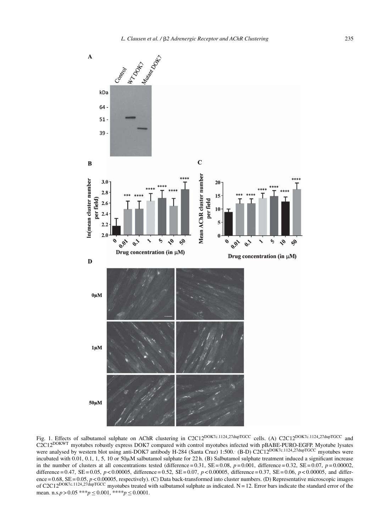

Fig. 1. Effects of salbutamol sulphate on AChR clustering in C2C12<sup>DOK7c.1124</sup>.27dupTGCC cells. (A) C2C12<sup>DOK7c.1124.27dupTGCC</sup> and C2C12DOKWT myotubes robustly express DOK7 compared with control myotubes infected with pBABE-PURO-EGFP. Myotube lysates were analysed by western blot using anti-DOK7 antibody H-284 (Santa Cruz) 1:500. (B-D) C2C12<sup>DOK7c.1124</sup> 27dupTGCC myotubes were incubated with 0.01, 0.1, 1, 5, 10 or 50 $\mu$ M salbutamol sulphate for 22 h. (B) Salbutamol sulphate treatment induced a significant increase in the number of clusters at all concentrations tested (difference =  $0.31$ , SE =  $0.08$ ,  $p = 0.001$ , difference =  $0.32$ , SE =  $0.07$ ,  $p = 0.00002$ , difference = 0.47, SE = 0.05, *p* < 0.00005, difference = 0.52, SE = 0.07, *p* < 0.00005, difference = 0.37, SE = 0.06, *p* < 0.00005, and difference = 0.68, SE = 0.05, *p* < 0.00005, respectively). (C) Data back-transformed into cluster numbers. (D) Representative microscopic images of C2C12<sup>DOK7c.1124.27dupTGCC</sup> myotubes treated with salbutamol sulphate as indicated. N = 12. Error bars indicate the standard error of the mean. n.s. $p > 0.05$ \*\*\* $p \le 0.001$ , \*\*\*\* $p \le 0.0001$ .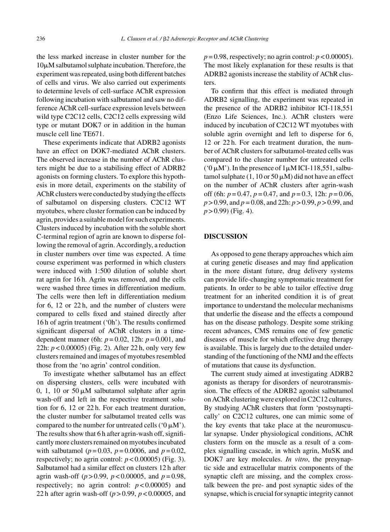the less marked increase in cluster number for the  $10\mu$ M salbutamol sulphate incubation. Therefore, the experiment was repeated, using both different batches of cells and virus. We also carried out experiments to determine levels of cell-surface AChR expression following incubation with salbutamol and saw no difference AChR cell-surface expression levels between wild type C2C12 cells, C2C12 cells expressing wild type or mutant DOK7 or in addition in the human muscle cell line TE671.

These experiments indicate that ADRB2 agonists have an effect on DOK7-mediated AChR clusters. The observed increase in the number of AChR clusters might be due to a stabilising effect of ADRB2 agonists on forming clusters. To explore this hypothesis in more detail, experiments on the stability of AChR clusters were conducted by studying the effects of salbutamol on dispersing clusters. C2C12 WT myotubes, where cluster formation can be induced by agrin, provides a suitable model for such experiments. Clusters induced by incubation with the soluble short C-terminal region of agrin are known to disperse following the removal of agrin. Accordingly, a reduction in cluster numbers over time was expected. A time course experiment was performed in which clusters were induced with 1:500 dilution of soluble short rat agrin for 16 h. Agrin was removed, and the cells were washed three times in differentiation medium. The cells were then left in differentiation medium for 6, 12 or 22 h, and the number of clusters were compared to cells fixed and stained directly after 16 h of agrin treatment ('0h'). The results confirmed significant dispersal of AChR clusters in a timedependent manner (6h: *p* = 0.02, 12h: *p* = 0.001, and 22h: *p* < 0.00005) (Fig. 2). After 22 h, only very few clusters remained and images of myotubes resembled those from the 'no agrin' control condition.

To investigate whether salbutamol has an effect on dispersing clusters, cells were incubated with 0, 1, 10 or 50  $\mu$ M salbutamol sulphate after agrin wash-off and left in the respective treatment solution for 6, 12 or 22 h. For each treatment duration, the cluster number for salbutamol treated cells was compared to the number for untreated cells ( $0 \mu$ M'). The results show that 6 h after agrin-wash off, significantly more clusters remained on myotubes incubated with salbutamol (*p* = 0.03, *p* = 0.0006, and *p* = 0.02, respectively; no agrin control:  $p < 0.00005$ ) (Fig. 3). Salbutamol had a similar effect on clusters 12 h after agrin wash-off (*p* > 0.99, *p* < 0.00005, and *p* = 0.98, respectively; no agrin control:  $p < 0.00005$ ) and 22 h after agrin wash-off (*p* > 0.99, *p* < 0.00005, and

 $p = 0.98$ , respectively; no agrin control:  $p < 0.00005$ ). The most likely explanation for these results is that ADRB2 agonists increase the stability of AChR clusters.

To confirm that this effect is mediated through ADRB2 signalling, the experiment was repeated in the presence of the ADRB2 inhibitor ICI-118,551 (Enzo Life Sciences, Inc.). AChR clusters were induced by incubation of C2C12 WT myotubes with soluble agrin overnight and left to disperse for 6, 12 or 22 h. For each treatment duration, the number of AChR clusters for salbutamol-treated cells was compared to the cluster number for untreated cells ( $0 \mu$ M'). In the presence of  $1 \mu$ M ICI-118,551, salbutamol sulphate  $(1, 10 \text{ or } 50 \mu\text{M})$  did not have an effect on the number of AChR clusters after agrin-wash off (6h: *p* = 0.47, *p* = 0.47, and *p* = 0.3, 12h: *p* = 0.06, *p* > 0.99, and *p* = 0.08, and 22h: *p* > 0.99, *p* > 0.99, and *p* > 0.99) (Fig. 4).

#### **DISCUSSION**

As opposed to gene therapy approaches which aim at curing genetic diseases and may find application in the more distant future, drug delivery systems can provide life-changing symptomatic treatment for patients. In order to be able to tailor effective drug treatment for an inherited condition it is of great importance to understand the molecular mechanisms that underlie the disease and the effects a compound has on the disease pathology. Despite some striking recent advances, CMS remains one of few genetic diseases of muscle for which effective drug therapy is available. This is largely due to the detailed understanding of the functioning of the NMJ and the effects of mutations that cause its dysfunction.

The current study aimed at investigating ADRB2 agonists as therapy for disorders of neurotransmission. The effects of the ADRB2 agonist salbutamol on AChR clustering were explored in C2C12 cultures. By studying AChR clusters that form 'postsynaptically' on C2C12 cultures, one can mimic some of the key events that take place at the neuromuscular synapse. Under physiological conditions, AChR clusters form on the muscle as a result of a complex signalling cascade, in which agrin, MuSK and DOK7 are key molecules. *In vitro*, the presynaptic side and extracellular matrix components of the synaptic cleft are missing, and the complex crosstalk beween the pre- and post synaptic sides of the synapse, which is crucial for synaptic integrity cannot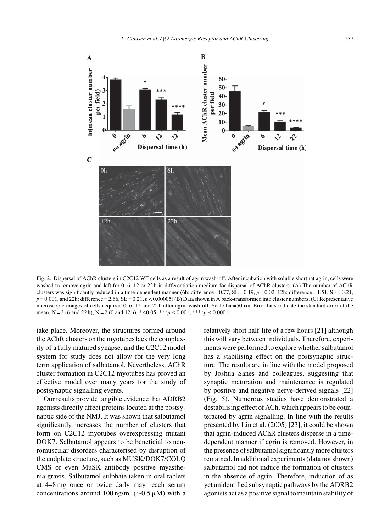

Fig. 2. Dispersal of AChR clusters in C2C12 WT cells as a result of agrin wash-off. After incubation with soluble short rat agrin, cells were washed to remove agrin and left for 0, 6, 12 or 22 h in differentiation medium for dispersal of AChR clusters. (A) The number of AChR clusters was significantly reduced in a time-dependent manner (6h: difference =  $0.77$ , SE =  $0.19$ ,  $p = 0.02$ , 12h: difference =  $1.51$ , SE =  $0.21$ ,  $p = 0.001$ , and 22h: difference = 2.66, SE = 0.21,  $p < 0.00005$ ) (B) Data shown in A back-transformed into cluster numbers. (C) Representative microscopic images of cells acquired  $0, 6, 12$  and  $22$  h after agrin wash-off. Scale-bar=50 $\mu$ m. Error bars indicate the standard error of the mean. N = 3 (6 and 22 h), N = 2 (0 and 12 h).  $* \le 0.05$ ,  $***p \le 0.001$ ,  $***p \le 0.0001$ .

take place. Moreover, the structures formed around the AChR clusters on the myotubes lack the complexity of a fully matured synapse, and the C2C12 model system for study does not allow for the very long term application of salbutamol. Nevertheless, AChR cluster formation in C2C12 myotubes has proved an effective model over many years for the study of postsynaptic signalling events.

Our results provide tangible evidence that ADRB2 agonists directly affect proteins located at the postsynaptic side of the NMJ. It was shown that salbutamol significantly increases the number of clusters that form on C2C12 myotubes overexpressing mutant DOK7. Salbutamol appears to be beneficial to neuromuscular disorders characterised by disruption of the endplate structure, such as MUSK/DOK7/COLQ CMS or even MuSK antibody positive myasthenia gravis. Salbutamol sulphate taken in oral tablets at 4–8 mg once or twice daily may reach serum concentrations around 100 ng/ml ( $\sim$ 0.5 µM) with a

relatively short half-life of a few hours [21] although this will vary between individuals. Therefore, experiments were performed to explore whether salbutamol has a stabilising effect on the postsynaptic structure. The results are in line with the model proposed by Joshua Sanes and colleagues, suggesting that synaptic maturation and maintenance is regulated by positive and negative nerve-derived signals [22] (Fig. 5). Numerous studies have demonstrated a destabilising effect of ACh, which appears to be counteracted by agrin signalling. In line with the results presented by Lin et al. (2005) [23], it could be shown that agrin-induced AChR clusters disperse in a timedependent manner if agrin is removed. However, in the presence of salbutamol significantly more clusters remained. In additional experiments (data not shown) salbutamol did not induce the formation of clusters in the absence of agrin. Therefore, induction of as yet unidentified subsynaptic pathways by the ADRB2 agonists act as a positive signal to maintain stability of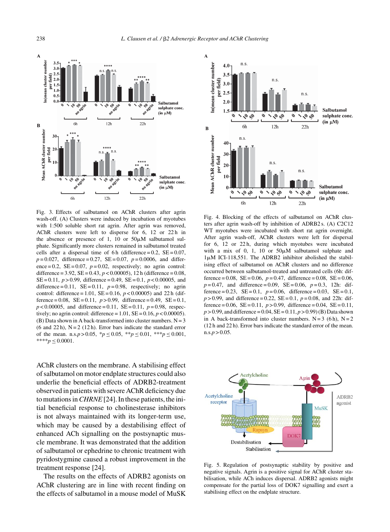

Fig. 3. Effects of salbutamol on AChR clusters after agrin wash-off. (A) Clusters were induced by incubation of myotubes with 1:500 soluble short rat agrin. After agrin was removed, AChR clusters were left to disperse for 6, 12 or 22h in the absence or presence of 1, 10 or  $50\mu$ M salbutamol sulphate. Significantly more clusters remained in salbutamol treated cells after a dispersal time of 6 h (difference =  $0.2$ , SE =  $0.07$ ,  $p = 0.027$ , difference = 0.27, SE = 0.07,  $p = 0.0006$ , and difference =  $0.2$ , SE =  $0.07$ ,  $p = 0.02$ , respectively; no agrin control: difference =  $3.92$ ,  $SE = 0.43$ ,  $p < 0.00005$ ), 12 h (difference =  $0.08$ , SE = 0.11, *p* > 0.99, difference = 0.49, SE = 0.1, *p* < 0.00005, and difference = 0.11,  $SE = 0.11$ ,  $p = 0.98$ , respectively; no agrin control: difference = 1.01,  $SE = 0.16$ ,  $p < 0.00005$ ) and 22 h (difference = 0.08,  $SE = 0.11$ ,  $p > 0.99$ , difference = 0.49,  $SE = 0.1$ ,  $p < 0.00005$ , and difference = 0.11,  $SE = 0.11$ ,  $p = 0.98$ , respectively; no agrin control: difference =  $1.01$ , SE =  $0.16$ ,  $p < 0.00005$ ). (B) Data shown in A back-transformed into cluster numbers.  $N = 3$  $(6 \text{ and } 22 \text{ h})$ ,  $N = 2$  (12 h). Error bars indicate the standard error of the mean. n.s. $p > 0.05$ ,  ${}^*p \le 0.05$ ,  ${}^{**}p \le 0.01$ ,  ${}^{**}p \le 0.001$ , \*\*\*\**p* ≤ 0.0001.

AChR clusters on the membrane. A stabilising effect of salbutamol on motor endplate structures could also underlie the beneficial effects of ADRB2-treatment observed in patients with severe AChR deficiency due to mutations in*CHRNE*[24]. In these patients, the initial beneficial response to cholinesterase inhibitors is not always maintained with its longer-term use, which may be caused by a destabilising effect of enhanced ACh signalling on the postsynaptic muscle membrane. It was demonstrated that the addition of salbutamol or ephedrine to chronic treatment with pyridostygmine caused a robust improvement in the treatment response [24].

The results on the effects of ADRB2 agonists on AChR clustering are in line with recent finding on the effects of salbutamol in a mouse model of MuSK



Fig. 4. Blocking of the effects of salbutamol on AChR clusters after agrin wash-off by inhibition of ADRB2 s. (A) C2C12 WT myotubes were incubated with short rat agrin overnight. After agrin wash-off, AChR clusters were left for dispersal for 6, 12 or 22 h, during which myotubes were incubated with a mix of 0, 1, 10 or  $50\mu M$  salbutamol sulphate and  $1\mu$ M ICI-118,551. The ADRB2 inhibitor abolished the stabilising effect of salbutamol on AChR clusters and no difference occurred between salbutamol-treated and untreated cells (6h: difference =  $0.08$ , SE =  $0.06$ ,  $p = 0.47$ , difference =  $0.08$ , SE =  $0.06$ ,  $p=0.47$ , and difference = 0.09, SE = 0.06,  $p=0.3$ , 12h: difference =  $0.23$ , SE =  $0.1$ ,  $p = 0.06$ , difference =  $0.03$ , SE =  $0.1$ ,  $p > 0.99$ , and difference = 0.22, SE = 0.1,  $p = 0.08$ , and 22h: difference =  $0.06$ , SE =  $0.11$ ,  $p > 0.99$ , difference =  $0.04$ , SE =  $0.11$ ,  $p > 0.99$ , and difference = 0.04,  $SE = 0.11$ ,  $p > 0.99$  (B) Data shown in A back-transformed into cluster numbers.  $N = 3$  (6 h),  $N = 2$ (12 h and 22 h). Error bars indicate the standard error of the mean.  $n.s.p > 0.05$ .



Fig. 5. Regulation of postsynaptic stability by positive and negative signals. Agrin is a positive signal for AChR cluster stabilisation, while ACh induces dispersal. ADRB2 agonists might compensate for the partial loss of DOK7 signalling and exert a stabilising effect on the endplate structure.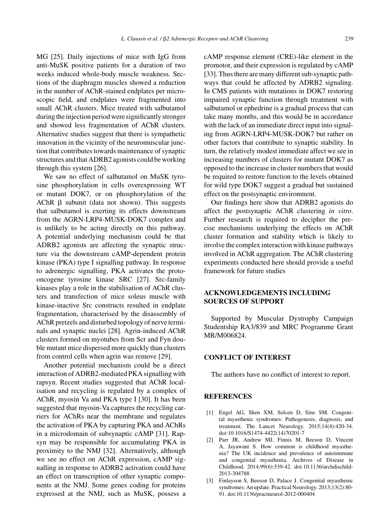MG [25]. Daily injections of mice with IgG from anti-MuSK positive patients for a duration of two weeks induced whole-body muscle weakness. Sections of the diaphragm muscles showed a reduction in the number of AChR-stained endplates per microscopic field, and endplates were fragmented into small AChR clusters. Mice treated with salbutamol during the injection period were significantly stronger and showed less fragmentation of AChR clusters. Alternative studies suggest that there is sympathetic innovation in the vicinity of the neuromuscular junction that contributes towards maintenance of synaptic structures and that ADRB2 agonists could be working through this system [26].

We saw no effect of salbutamol on MuSK tyrosine phosphorylation in cells overexpressing WT or mutant DOK7, or on phosphorylation of the  $AChR$   $\beta$  subunit (data not shown). This suggests that salbutamol is exerting its effects downstream from the AGRN-LRP4-MUSK-DOK7 complex and is unlikely to be acting directly on this pathway. A potential underlying mechanism could be that ADRB2 agonists are affecting the synaptic structure via the downstream cAMP-dependent protein kinase (PKA) type I signalling pathway. In response to adrenergic signalling, PKA activates the protooncogene tyrosine kinase SRC [27]. Src-family kinases play a role in the stabilisation of AChR clusters and transfection of mice soleus muscle with kinase-inactive Src constructs resulted in endplate fragmentation, characterised by the disassembly of AChR pretzels and disturbed topology of nerve terminals and synaptic nuclei [28]. Agrin-induced AChR clusters formed on myotubes from Scr and Fyn double mutant mice dispersed more quickly than clusters from control cells when agrin was remove [29].

Another potential mechanism could be a direct interaction of ADRB2-mediated PKA signalling with rapsyn. Recent studies suggested that AChR localisation and recycling is regulated by a complex of AChR, myosin Va and PKA type I [30]. It has been suggested that myosin-Va captures the recycling carriers for AChRs near the membrane and regulates the activation of PKA by capturing PKA and AChRs in a microdomain of subsynaptic cAMP [31]. Rapsyn may be responsible for accumulating PKA in proximity to the NMJ [32]. Alternatively, although we see no effect on AChR expression, cAMP signalling in response to ADRB2 activation could have an effect on transcription of other synaptic components at the NMJ. Some genes coding for proteins expressed at the NMJ, such as MuSK, possess a

cAMP response element (CRE)-like element in the promotor, and their expression is regulated by cAMP [33]. Thus there are many different sub-synaptic pathways that could be affected by ADRB2 signaling. In CMS patients with mutations in DOK7 restoring impaired synaptic function through treatment with salbutamol or ephedrine is a gradual process that can take many months, and this would be in accordance with the lack of an immediate direct input into signaling from AGRN-LRP4-MUSK-DOK7 but rather on other factors that contribute to synaptic stability. In turn, the relatively modest immediate affect we see in increasing numbers of clusters for mutant DOK7 as opposed to the increase in cluster numbers that would be required to restore function to the levels obtained for wild type DOK7 suggest a gradual but sustained effect on the postsynaptic environment.

Our findings here show that ADRB2 agonists do affect the postsynaptic AChR clustering *in vitro*. Further research is required to decipher the precise mechanisms underlying the effects on AChR cluster formation and stability which is likely to involve the complex interaction with kinase pathways involved in AChR aggregation. The AChR clustering experiments conducted here should provide a useful framework for future studies

# **ACKNOWLEDGEMENTS INCLUDING SOURCES OF SUPPORT**

Supported by Muscular Dystrophy Campaign Studentship RA3/839 and MRC Programme Grant MR/M006824.

# **CONFLICT OF INTEREST**

The authors have no conflict of interest to report.

#### **REFERENCES**

- [1] Engel AG, Shen XM, Selcen D, Sine SM. Congenital myasthenic syndromes: Pathogenesis, diagnosis, and treatment. The Lancet Neurology. 2015;14(4):420-34. doi:10.1016/S1474-4422(14)70201-7
- [2] Parr JR, Andrew MJ, Finnis M, Beeson D, Vincent A, Jayawant S. How common is childhood myasthenia? The UK incidence and prevalence of autoimmune and congenital myasthenia. Archives of Disease in Childhood. 2014;99(6):539-42. doi:10.1136/archdischild-2013-304788
- [3] Finlayson S, Beeson D, Palace J. Congenital myasthenic syndromes: An update. Practical Neurology. 2013;13(2):80- 91. doi:10.1136/practneurol-2012-000404